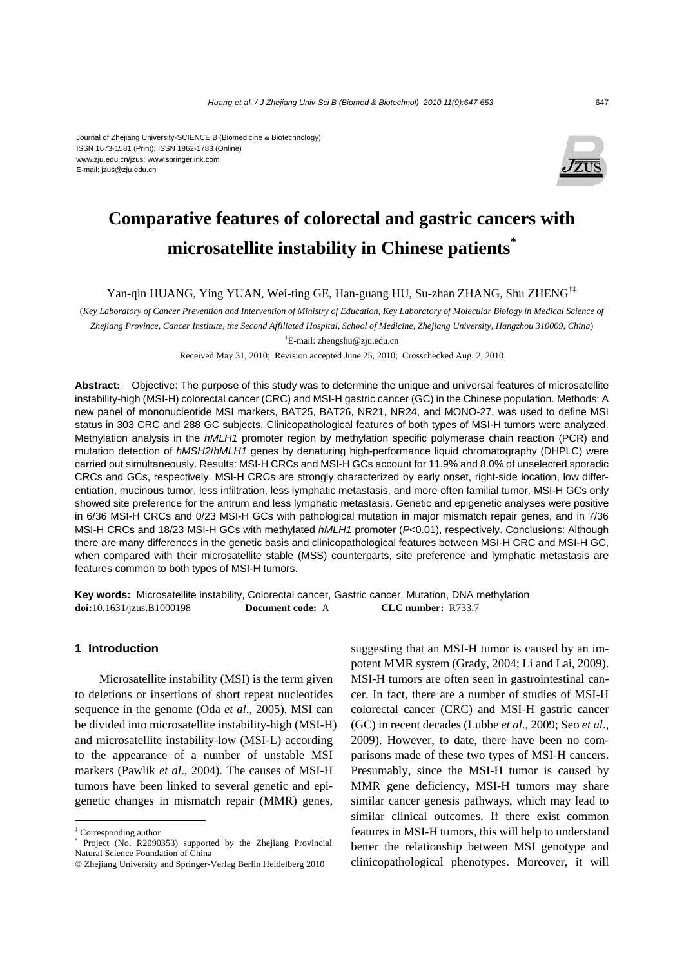#### Journal of Zhejiang University-SCIENCE B (Biomedicine & Biotechnology) ISSN 1673-1581 (Print); ISSN 1862-1783 (Online) www.zju.edu.cn/jzus; www.springerlink.com E-mail: jzus@zju.edu.cn



# **Comparative features of colorectal and gastric cancers with microsatellite instability in Chinese patients\***

Yan-qin HUANG, Ying YUAN, Wei-ting GE, Han-guang HU, Su-zhan ZHANG, Shu ZHENG†‡

(*Key Laboratory of Cancer Prevention and Intervention of Ministry of Education, Key Laboratory of Molecular Biology in Medical Science of Zhejiang Province, Cancer Institute, the Second Affiliated Hospital, School of Medicine, Zhejiang University, Hangzhou 310009, China*)

† E-mail: zhengshu@zju.edu.cn

Received May 31, 2010; Revision accepted June 25, 2010; Crosschecked Aug. 2, 2010

**Abstract:** Objective: The purpose of this study was to determine the unique and universal features of microsatellite instability-high (MSI-H) colorectal cancer (CRC) and MSI-H gastric cancer (GC) in the Chinese population. Methods: A new panel of mononucleotide MSI markers, BAT25, BAT26, NR21, NR24, and MONO-27, was used to define MSI status in 303 CRC and 288 GC subjects. Clinicopathological features of both types of MSI-H tumors were analyzed. Methylation analysis in the *hMLH1* promoter region by methylation specific polymerase chain reaction (PCR) and mutation detection of *hMSH2*/*hMLH1* genes by denaturing high-performance liquid chromatography (DHPLC) were carried out simultaneously. Results: MSI-H CRCs and MSI-H GCs account for 11.9% and 8.0% of unselected sporadic CRCs and GCs, respectively. MSI-H CRCs are strongly characterized by early onset, right-side location, low differentiation, mucinous tumor, less infiltration, less lymphatic metastasis, and more often familial tumor. MSI-H GCs only showed site preference for the antrum and less lymphatic metastasis. Genetic and epigenetic analyses were positive in 6/36 MSI-H CRCs and 0/23 MSI-H GCs with pathological mutation in major mismatch repair genes, and in 7/36 MSI-H CRCs and 18/23 MSI-H GCs with methylated *hMLH1* promoter (*P*<0.01), respectively. Conclusions: Although there are many differences in the genetic basis and clinicopathological features between MSI-H CRC and MSI-H GC, when compared with their microsatellite stable (MSS) counterparts, site preference and lymphatic metastasis are features common to both types of MSI-H tumors.

**Key words:** Microsatellite instability, Colorectal cancer, Gastric cancer, Mutation, DNA methylation **doi:**10.1631/jzus.B1000198 **Document code:** A **CLC number:** R733.7

## **1 Introduction**

Microsatellite instability (MSI) is the term given to deletions or insertions of short repeat nucleotides sequence in the genome (Oda *et al*., 2005). MSI can be divided into microsatellite instability-high (MSI-H) and microsatellite instability-low (MSI-L) according to the appearance of a number of unstable MSI markers (Pawlik *et al*., 2004). The causes of MSI-H tumors have been linked to several genetic and epigenetic changes in mismatch repair (MMR) genes,

suggesting that an MSI-H tumor is caused by an impotent MMR system (Grady, 2004; Li and Lai, 2009). MSI-H tumors are often seen in gastrointestinal cancer. In fact, there are a number of studies of MSI-H colorectal cancer (CRC) and MSI-H gastric cancer (GC) in recent decades (Lubbe *et al*., 2009; Seo *et al*., 2009). However, to date, there have been no comparisons made of these two types of MSI-H cancers. Presumably, since the MSI-H tumor is caused by MMR gene deficiency, MSI-H tumors may share similar cancer genesis pathways, which may lead to similar clinical outcomes. If there exist common features in MSI-H tumors, this will help to understand better the relationship between MSI genotype and clinicopathological phenotypes. Moreover, it will

<sup>‡</sup> Corresponding author

<sup>\*</sup> Project (No. R2090353) supported by the Zhejiang Provincial Natural Science Foundation of China

<sup>©</sup> Zhejiang University and Springer-Verlag Berlin Heidelberg 2010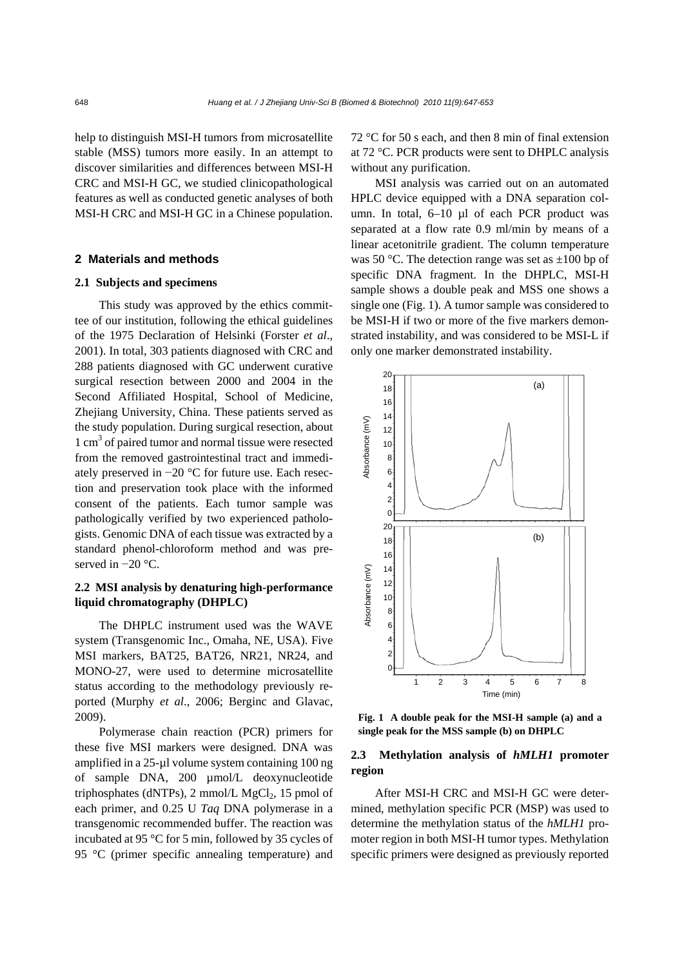help to distinguish MSI-H tumors from microsatellite stable (MSS) tumors more easily. In an attempt to discover similarities and differences between MSI-H CRC and MSI-H GC, we studied clinicopathological features as well as conducted genetic analyses of both MSI-H CRC and MSI-H GC in a Chinese population.

## **2 Materials and methods**

#### **2.1 Subjects and specimens**

This study was approved by the ethics committee of our institution, following the ethical guidelines of the 1975 Declaration of Helsinki (Forster *et al*., 2001). In total, 303 patients diagnosed with CRC and 288 patients diagnosed with GC underwent curative surgical resection between 2000 and 2004 in the Second Affiliated Hospital, School of Medicine, Zhejiang University, China. These patients served as the study population. During surgical resection, about 1 cm<sup>3</sup> of paired tumor and normal tissue were resected from the removed gastrointestinal tract and immediately preserved in −20 °C for future use. Each resection and preservation took place with the informed consent of the patients. Each tumor sample was pathologically verified by two experienced pathologists. Genomic DNA of each tissue was extracted by a standard phenol-chloroform method and was preserved in −20 °C.

## **2.2 MSI analysis by denaturing high-performance liquid chromatography (DHPLC)**

The DHPLC instrument used was the WAVE system (Transgenomic Inc., Omaha, NE, USA). Five MSI markers, BAT25, BAT26, NR21, NR24, and MONO-27, were used to determine microsatellite status according to the methodology previously reported (Murphy *et al*., 2006; Berginc and Glavac, 2009).

Polymerase chain reaction (PCR) primers for these five MSI markers were designed. DNA was amplified in a 25-µl volume system containing 100 ng of sample DNA, 200 µmol/L deoxynucleotide triphosphates (dNTPs), 2 mmol/L  $MgCl<sub>2</sub>$ , 15 pmol of each primer, and 0.25 U *Taq* DNA polymerase in a transgenomic recommended buffer. The reaction was incubated at 95 °C for 5 min, followed by 35 cycles of 95 °C (primer specific annealing temperature) and 72 °C for 50 s each, and then 8 min of final extension at 72 °C. PCR products were sent to DHPLC analysis without any purification.

MSI analysis was carried out on an automated HPLC device equipped with a DNA separation column. In total, 6–10 µl of each PCR product was separated at a flow rate 0.9 ml/min by means of a linear acetonitrile gradient. The column temperature was 50 °C. The detection range was set as  $\pm 100$  bp of specific DNA fragment. In the DHPLC, MSI-H sample shows a double peak and MSS one shows a single one (Fig. 1). A tumor sample was considered to be MSI-H if two or more of the five markers demonstrated instability, and was considered to be MSI-L if only one marker demonstrated instability.



**Fig. 1 A double peak for the MSI-H sample (a) and a single peak for the MSS sample (b) on DHPLC** 

## **2.3 Methylation analysis of** *hMLH1* **promoter region**

After MSI-H CRC and MSI-H GC were determined, methylation specific PCR (MSP) was used to determine the methylation status of the *hMLH1* promoter region in both MSI-H tumor types. Methylation specific primers were designed as previously reported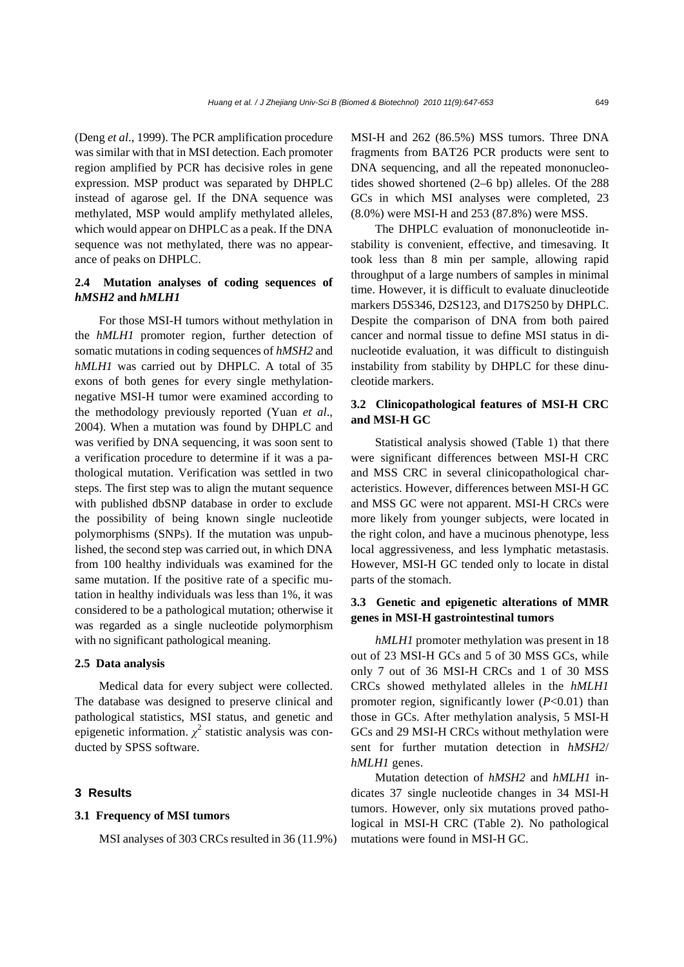(Deng *et al*., 1999). The PCR amplification procedure was similar with that in MSI detection. Each promoter region amplified by PCR has decisive roles in gene expression. MSP product was separated by DHPLC instead of agarose gel. If the DNA sequence was methylated, MSP would amplify methylated alleles, which would appear on DHPLC as a peak. If the DNA sequence was not methylated, there was no appearance of peaks on DHPLC.

## **2.4 Mutation analyses of coding sequences of**  *hMSH2* **and** *hMLH1*

For those MSI-H tumors without methylation in the *hMLH1* promoter region, further detection of somatic mutations in coding sequences of *hMSH2* and *hMLH1* was carried out by DHPLC. A total of 35 exons of both genes for every single methylationnegative MSI-H tumor were examined according to the methodology previously reported (Yuan *et al*., 2004). When a mutation was found by DHPLC and was verified by DNA sequencing, it was soon sent to a verification procedure to determine if it was a pathological mutation. Verification was settled in two steps. The first step was to align the mutant sequence with published dbSNP database in order to exclude the possibility of being known single nucleotide polymorphisms (SNPs). If the mutation was unpublished, the second step was carried out, in which DNA from 100 healthy individuals was examined for the same mutation. If the positive rate of a specific mutation in healthy individuals was less than 1%, it was considered to be a pathological mutation; otherwise it was regarded as a single nucleotide polymorphism with no significant pathological meaning.

#### **2.5 Data analysis**

Medical data for every subject were collected. The database was designed to preserve clinical and pathological statistics, MSI status, and genetic and epigenetic information.  $\chi^2$  statistic analysis was conducted by SPSS software.

## **3 Results**

#### **3.1 Frequency of MSI tumors**

MSI analyses of 303 CRCs resulted in 36 (11.9%)

MSI-H and 262 (86.5%) MSS tumors. Three DNA fragments from BAT26 PCR products were sent to DNA sequencing, and all the repeated mononucleotides showed shortened (2–6 bp) alleles. Of the 288 GCs in which MSI analyses were completed, 23 (8.0%) were MSI-H and 253 (87.8%) were MSS.

The DHPLC evaluation of mononucleotide instability is convenient, effective, and timesaving. It took less than 8 min per sample, allowing rapid throughput of a large numbers of samples in minimal time. However, it is difficult to evaluate dinucleotide markers D5S346, D2S123, and D17S250 by DHPLC. Despite the comparison of DNA from both paired cancer and normal tissue to define MSI status in dinucleotide evaluation, it was difficult to distinguish instability from stability by DHPLC for these dinucleotide markers.

## **3.2 Clinicopathological features of MSI-H CRC and MSI-H GC**

Statistical analysis showed (Table 1) that there were significant differences between MSI-H CRC and MSS CRC in several clinicopathological characteristics. However, differences between MSI-H GC and MSS GC were not apparent. MSI-H CRCs were more likely from younger subjects, were located in the right colon, and have a mucinous phenotype, less local aggressiveness, and less lymphatic metastasis. However, MSI-H GC tended only to locate in distal parts of the stomach.

## **3.3 Genetic and epigenetic alterations of MMR genes in MSI-H gastrointestinal tumors**

*hMLH1* promoter methylation was present in 18 out of 23 MSI-H GCs and 5 of 30 MSS GCs, while only 7 out of 36 MSI-H CRCs and 1 of 30 MSS CRCs showed methylated alleles in the *hMLH1* promoter region, significantly lower (*P*<0.01) than those in GCs. After methylation analysis, 5 MSI-H GCs and 29 MSI-H CRCs without methylation were sent for further mutation detection in *hMSH2*/ *hMLH1* genes.

Mutation detection of *hMSH2* and *hMLH1* indicates 37 single nucleotide changes in 34 MSI-H tumors. However, only six mutations proved pathological in MSI-H CRC (Table 2). No pathological mutations were found in MSI-H GC.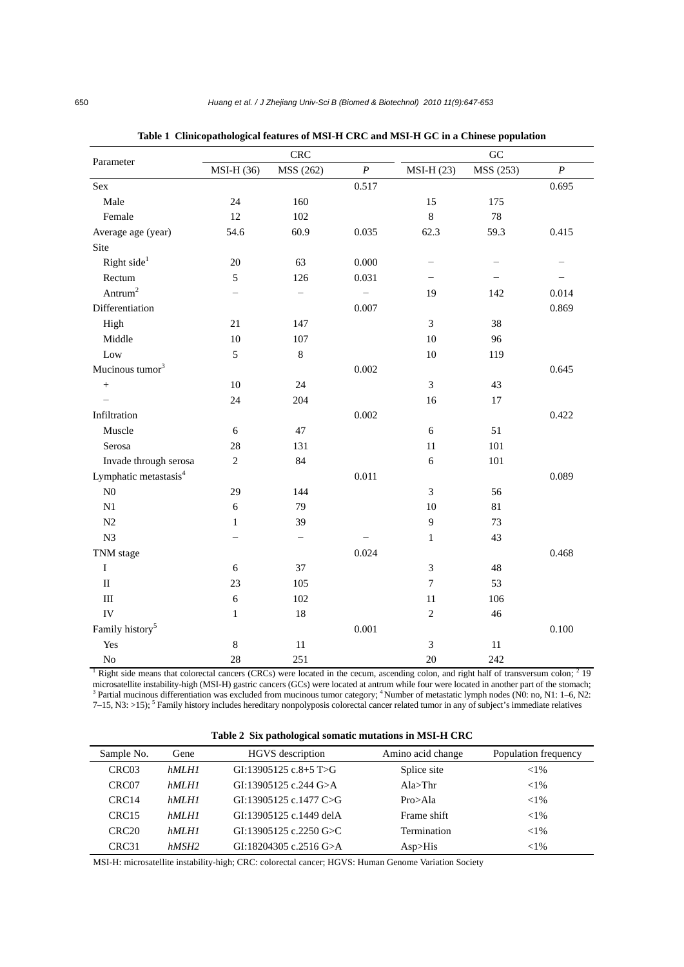|                                                                                                                                                  |              | <b>CRC</b>               |                  |                | GC        |                  |
|--------------------------------------------------------------------------------------------------------------------------------------------------|--------------|--------------------------|------------------|----------------|-----------|------------------|
| Parameter                                                                                                                                        | MSI-H (36)   | MSS (262)                | $\boldsymbol{P}$ | $MSI-H(23)$    | MSS (253) | $\boldsymbol{P}$ |
| Sex                                                                                                                                              |              |                          | 0.517            |                |           | 0.695            |
| Male                                                                                                                                             | 24           | 160                      |                  | 15             | 175       |                  |
| Female                                                                                                                                           | 12           | 102                      |                  | 8              | 78        |                  |
| Average age (year)                                                                                                                               | 54.6         | 60.9                     | 0.035            | 62.3           | 59.3      | 0.415            |
| Site                                                                                                                                             |              |                          |                  |                |           |                  |
| Right side <sup>1</sup>                                                                                                                          | 20           | 63                       | 0.000            |                |           |                  |
| Rectum                                                                                                                                           | 5            | 126                      | 0.031            |                |           |                  |
| Antrum <sup>2</sup>                                                                                                                              |              | $\overline{\phantom{0}}$ |                  | 19             | 142       | 0.014            |
| Differentiation                                                                                                                                  |              |                          | 0.007            |                |           | 0.869            |
| High                                                                                                                                             | 21           | 147                      |                  | 3              | 38        |                  |
| Middle                                                                                                                                           | 10           | 107                      |                  | 10             | 96        |                  |
| Low                                                                                                                                              | 5            | $\,8\,$                  |                  | 10             | 119       |                  |
| Mucinous tumor <sup>3</sup>                                                                                                                      |              |                          | 0.002            |                |           | 0.645            |
| $\ddot{}$                                                                                                                                        | 10           | 24                       |                  | 3              | 43        |                  |
|                                                                                                                                                  | 24           | 204                      |                  | 16             | 17        |                  |
| Infiltration                                                                                                                                     |              |                          | 0.002            |                |           | 0.422            |
| Muscle                                                                                                                                           | $\sqrt{6}$   | 47                       |                  | $\sqrt{6}$     | 51        |                  |
| Serosa                                                                                                                                           | 28           | 131                      |                  | 11             | 101       |                  |
| Invade through serosa                                                                                                                            | 2            | 84                       |                  | 6              | 101       |                  |
| Lymphatic metastasis <sup>4</sup>                                                                                                                |              |                          | 0.011            |                |           | 0.089            |
| ${\rm N0}$                                                                                                                                       | 29           | 144                      |                  | 3              | 56        |                  |
| $\mathbf{N}1$                                                                                                                                    | 6            | 79                       |                  | 10             | 81        |                  |
| N2                                                                                                                                               | 1            | 39                       |                  | 9              | 73        |                  |
| N3                                                                                                                                               |              | $\overline{\phantom{0}}$ |                  | $\mathbf{1}$   | 43        |                  |
| TNM stage                                                                                                                                        |              |                          | 0.024            |                |           | 0.468            |
| $\mathbf I$                                                                                                                                      | 6            | 37                       |                  | $\mathfrak{Z}$ | 48        |                  |
| $\rm II$                                                                                                                                         | 23           | 105                      |                  | $\tau$         | 53        |                  |
| $\mathop{\rm III}\nolimits$                                                                                                                      | $\sqrt{6}$   | 102                      |                  | 11             | 106       |                  |
| IV                                                                                                                                               | $\mathbf{1}$ | $18\,$                   |                  | $\overline{2}$ | 46        |                  |
| Family history <sup>5</sup>                                                                                                                      |              |                          | 0.001            |                |           | 0.100            |
| Yes                                                                                                                                              | $\,8\,$      | $11\,$                   |                  | 3              | $11\,$    |                  |
| No                                                                                                                                               | 28           | 251                      |                  | 20             | 242       |                  |
| Right side means that colorectal cancers (CRCs) were located in the cecum, ascending colon, and right half of transversum colon; <sup>2</sup> 19 |              |                          |                  |                |           |                  |

|  |  |  | Table 1 Clinicopathological features of MSI-H CRC and MSI-H GC in a Chinese population |
|--|--|--|----------------------------------------------------------------------------------------|
|  |  |  |                                                                                        |

microsatellite instability-high (MSI-H) gastric cancers (GCs) were located at antrum while four were located in another part of the stomach;<br><sup>3</sup> Partial mucinous differentiation was excluded from mucinous tumor category; <sup></sup> 7–15, N3: >15); <sup>5</sup> Family history includes hereditary nonpolyposis colorectal cancer related tumor in any of subject's immediate relatives

| Table 2 Six pathological somatic mutations in MSI-H CRC |  |  |  |  |  |  |  |  |
|---------------------------------------------------------|--|--|--|--|--|--|--|--|
|---------------------------------------------------------|--|--|--|--|--|--|--|--|

| Sample No.        | Gene  | HGVS description        | Amino acid change | Population frequency |
|-------------------|-------|-------------------------|-------------------|----------------------|
| CRC <sub>03</sub> | hMLHI | GI:13905125 c.8+5 T>G   | Splice site       | ${<}1\%$             |
| CRC <sub>07</sub> | hMLHI | GI:13905125 c.244 G>A   | Ala>Thr           | ${<}1\%$             |
| CRC <sub>14</sub> | hMLHI | GI:13905125 c.1477 C>G  | Pro>A1a           | ${<}1\%$             |
| CRC <sub>15</sub> | hMLHI | GI:13905125 c.1449 delA | Frame shift       | ${<}1\%$             |
| CRC <sub>20</sub> | hMLHI | GI:13905125 c.2250 G>C  | Termination       | ${<}1\%$             |
| CRC <sub>31</sub> | hMSH2 | GI:18204305 c.2516 G>A  | $Asp\geq His$     | ${<}1\%$             |

MSI-H: microsatellite instability-high; CRC: colorectal cancer; HGVS: Human Genome Variation Society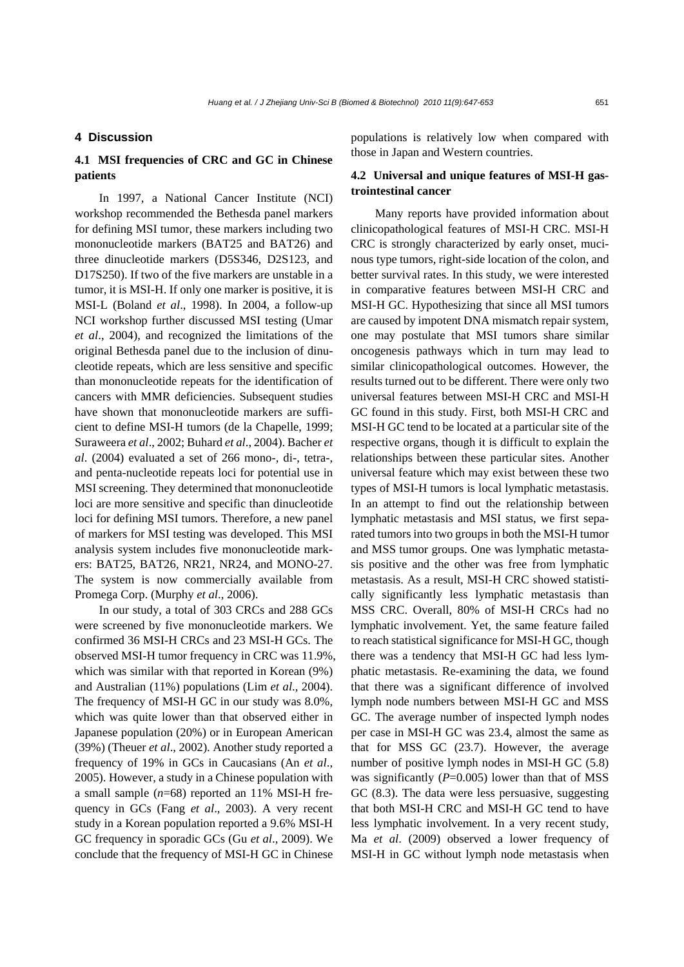### **4 Discussion**

# **4.1 MSI frequencies of CRC and GC in Chinese patients**

In 1997, a National Cancer Institute (NCI) workshop recommended the Bethesda panel markers for defining MSI tumor, these markers including two mononucleotide markers (BAT25 and BAT26) and three dinucleotide markers (D5S346, D2S123, and D17S250). If two of the five markers are unstable in a tumor, it is MSI-H. If only one marker is positive, it is MSI-L (Boland *et al*., 1998). In 2004, a follow-up NCI workshop further discussed MSI testing (Umar *et al*., 2004), and recognized the limitations of the original Bethesda panel due to the inclusion of dinucleotide repeats, which are less sensitive and specific than mononucleotide repeats for the identification of cancers with MMR deficiencies. Subsequent studies have shown that mononucleotide markers are sufficient to define MSI-H tumors (de la Chapelle, 1999; Suraweera *et al*., 2002; Buhard *et al*., 2004). Bacher *et al*. (2004) evaluated a set of 266 mono-, di-, tetra-, and penta-nucleotide repeats loci for potential use in MSI screening. They determined that mononucleotide loci are more sensitive and specific than dinucleotide loci for defining MSI tumors. Therefore, a new panel of markers for MSI testing was developed. This MSI analysis system includes five mononucleotide markers: BAT25, BAT26, NR21, NR24, and MONO-27. The system is now commercially available from Promega Corp. (Murphy *et al*., 2006).

In our study, a total of 303 CRCs and 288 GCs were screened by five mononucleotide markers. We confirmed 36 MSI-H CRCs and 23 MSI-H GCs. The observed MSI-H tumor frequency in CRC was 11.9%, which was similar with that reported in Korean (9%) and Australian (11%) populations (Lim *et al*., 2004). The frequency of MSI-H GC in our study was 8.0%, which was quite lower than that observed either in Japanese population (20%) or in European American (39%) (Theuer *et al*., 2002). Another study reported a frequency of 19% in GCs in Caucasians (An *et al*., 2005). However, a study in a Chinese population with a small sample (*n*=68) reported an 11% MSI-H frequency in GCs (Fang *et al*., 2003). A very recent study in a Korean population reported a 9.6% MSI-H GC frequency in sporadic GCs (Gu *et al*., 2009). We conclude that the frequency of MSI-H GC in Chinese

populations is relatively low when compared with those in Japan and Western countries.

## **4.2 Universal and unique features of MSI-H gastrointestinal cancer**

Many reports have provided information about clinicopathological features of MSI-H CRC. MSI-H CRC is strongly characterized by early onset, mucinous type tumors, right-side location of the colon, and better survival rates. In this study, we were interested in comparative features between MSI-H CRC and MSI-H GC. Hypothesizing that since all MSI tumors are caused by impotent DNA mismatch repair system, one may postulate that MSI tumors share similar oncogenesis pathways which in turn may lead to similar clinicopathological outcomes. However, the results turned out to be different. There were only two universal features between MSI-H CRC and MSI-H GC found in this study. First, both MSI-H CRC and MSI-H GC tend to be located at a particular site of the respective organs, though it is difficult to explain the relationships between these particular sites. Another universal feature which may exist between these two types of MSI-H tumors is local lymphatic metastasis. In an attempt to find out the relationship between lymphatic metastasis and MSI status, we first separated tumors into two groups in both the MSI-H tumor and MSS tumor groups. One was lymphatic metastasis positive and the other was free from lymphatic metastasis. As a result, MSI-H CRC showed statistically significantly less lymphatic metastasis than MSS CRC. Overall, 80% of MSI-H CRCs had no lymphatic involvement. Yet, the same feature failed to reach statistical significance for MSI-H GC, though there was a tendency that MSI-H GC had less lymphatic metastasis. Re-examining the data, we found that there was a significant difference of involved lymph node numbers between MSI-H GC and MSS GC. The average number of inspected lymph nodes per case in MSI-H GC was 23.4, almost the same as that for MSS GC (23.7). However, the average number of positive lymph nodes in MSI-H GC (5.8) was significantly  $(P=0.005)$  lower than that of MSS GC (8.3). The data were less persuasive, suggesting that both MSI-H CRC and MSI-H GC tend to have less lymphatic involvement. In a very recent study, Ma *et al*. (2009) observed a lower frequency of MSI-H in GC without lymph node metastasis when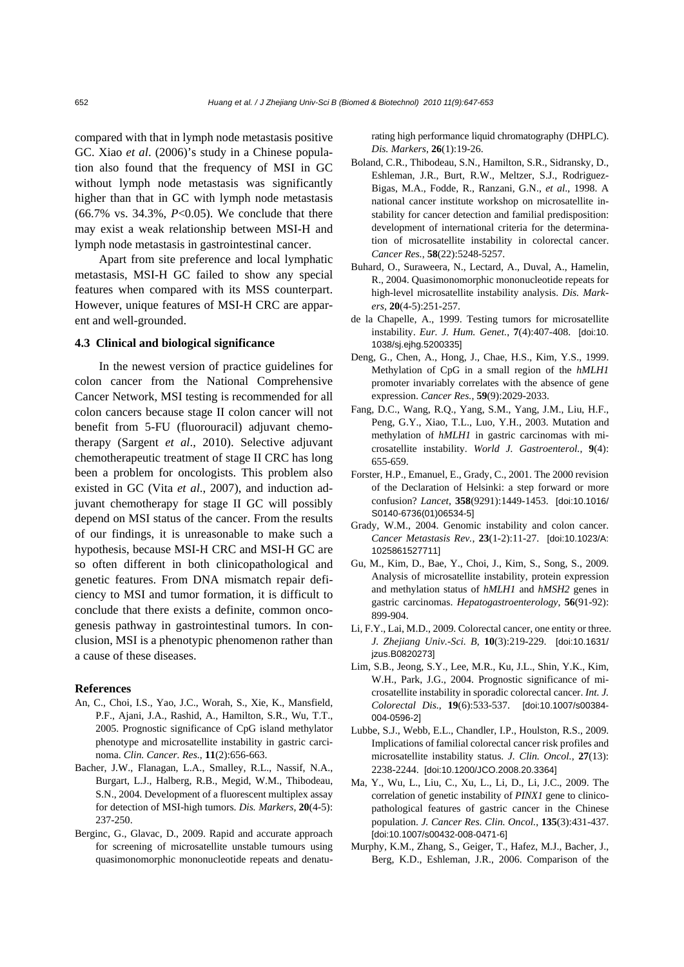compared with that in lymph node metastasis positive GC. Xiao *et al*. (2006)'s study in a Chinese population also found that the frequency of MSI in GC without lymph node metastasis was significantly higher than that in GC with lymph node metastasis (66.7% vs. 34.3%, *P*<0.05). We conclude that there may exist a weak relationship between MSI-H and lymph node metastasis in gastrointestinal cancer.

Apart from site preference and local lymphatic metastasis, MSI-H GC failed to show any special features when compared with its MSS counterpart. However, unique features of MSI-H CRC are apparent and well-grounded.

#### **4.3 Clinical and biological significance**

In the newest version of practice guidelines for colon cancer from the National Comprehensive Cancer Network, MSI testing is recommended for all colon cancers because stage II colon cancer will not benefit from 5-FU (fluorouracil) adjuvant chemotherapy (Sargent *et al*., 2010). Selective adjuvant chemotherapeutic treatment of stage II CRC has long been a problem for oncologists. This problem also existed in GC (Vita *et al*., 2007), and induction adjuvant chemotherapy for stage II GC will possibly depend on MSI status of the cancer. From the results of our findings, it is unreasonable to make such a hypothesis, because MSI-H CRC and MSI-H GC are so often different in both clinicopathological and genetic features. From DNA mismatch repair deficiency to MSI and tumor formation, it is difficult to conclude that there exists a definite, common oncogenesis pathway in gastrointestinal tumors. In conclusion, MSI is a phenotypic phenomenon rather than a cause of these diseases.

#### **References**

- An, C., Choi, I.S., Yao, J.C., Worah, S., Xie, K., Mansfield, P.F., Ajani, J.A., Rashid, A., Hamilton, S.R., Wu, T.T., 2005. Prognostic significance of CpG island methylator phenotype and microsatellite instability in gastric carcinoma. *Clin. Cancer. Res.*, **11**(2):656-663.
- Bacher, J.W., Flanagan, L.A., Smalley, R.L., Nassif, N.A., Burgart, L.J., Halberg, R.B., Megid, W.M., Thibodeau, S.N., 2004. Development of a fluorescent multiplex assay for detection of MSI-high tumors. *Dis. Markers*, **20**(4-5): 237-250.
- Berginc, G., Glavac, D., 2009. Rapid and accurate approach for screening of microsatellite unstable tumours using quasimonomorphic mononucleotide repeats and denatu-

rating high performance liquid chromatography (DHPLC). *Dis. Markers*, **26**(1):19-26.

- Boland, C.R., Thibodeau, S.N., Hamilton, S.R., Sidransky, D., Eshleman, J.R., Burt, R.W., Meltzer, S.J., Rodriguez-Bigas, M.A., Fodde, R., Ranzani, G.N., *et al*., 1998. A national cancer institute workshop on microsatellite instability for cancer detection and familial predisposition: development of international criteria for the determination of microsatellite instability in colorectal cancer. *Cancer Res.*, **58**(22):5248-5257.
- Buhard, O., Suraweera, N., Lectard, A., Duval, A., Hamelin, R., 2004. Quasimonomorphic mononucleotide repeats for high-level microsatellite instability analysis. *Dis. Markers*, **20**(4-5):251-257.
- de la Chapelle, A., 1999. Testing tumors for microsatellite instability. *Eur. J. Hum. Genet.*, **7**(4):407-408. [doi:10. 1038/sj.ejhg.5200335]
- Deng, G., Chen, A., Hong, J., Chae, H.S., Kim, Y.S., 1999. Methylation of CpG in a small region of the *hMLH1* promoter invariably correlates with the absence of gene expression. *Cancer Res.*, **59**(9):2029-2033.
- Fang, D.C., Wang, R.Q., Yang, S.M., Yang, J.M., Liu, H.F., Peng, G.Y., Xiao, T.L., Luo, Y.H., 2003. Mutation and methylation of *hMLH1* in gastric carcinomas with microsatellite instability. *World J. Gastroenterol.*, **9**(4): 655-659.
- Forster, H.P., Emanuel, E., Grady, C., 2001. The 2000 revision of the Declaration of Helsinki: a step forward or more confusion? *Lancet*, **358**(9291):1449-1453. [doi:10.1016/ S0140-6736(01)06534-5]
- Grady, W.M., 2004. Genomic instability and colon cancer. *Cancer Metastasis Rev.*, **23**(1-2):11-27. [doi:10.1023/A: 1025861527711]
- Gu, M., Kim, D., Bae, Y., Choi, J., Kim, S., Song, S., 2009. Analysis of microsatellite instability, protein expression and methylation status of *hMLH1* and *hMSH2* genes in gastric carcinomas. *Hepatogastroenterology*, **56**(91-92): 899-904.
- Li, F.Y., Lai, M.D., 2009. Colorectal cancer, one entity or three. *J. Zhejiang Univ.-Sci. B*, **10**(3):219-229. [doi:10.1631/ izus.B08202731
- Lim, S.B., Jeong, S.Y., Lee, M.R., Ku, J.L., Shin, Y.K., Kim, W.H., Park, J.G., 2004. Prognostic significance of microsatellite instability in sporadic colorectal cancer. *Int. J. Colorectal Dis.*, **19**(6):533-537. [doi:10.1007/s00384- 004-0596-2]
- Lubbe, S.J., Webb, E.L., Chandler, I.P., Houlston, R.S., 2009. Implications of familial colorectal cancer risk profiles and microsatellite instability status. *J. Clin. Oncol.*, **27**(13): 2238-2244. [doi:10.1200/JCO.2008.20.3364]
- Ma, Y., Wu, L., Liu, C., Xu, L., Li, D., Li, J.C., 2009. The correlation of genetic instability of *PINX1* gene to clinicopathological features of gastric cancer in the Chinese population. *J. Cancer Res. Clin. Oncol.*, **135**(3):431-437. [doi:10.1007/s00432-008-0471-6]
- Murphy, K.M., Zhang, S., Geiger, T., Hafez, M.J., Bacher, J., Berg, K.D., Eshleman, J.R., 2006. Comparison of the